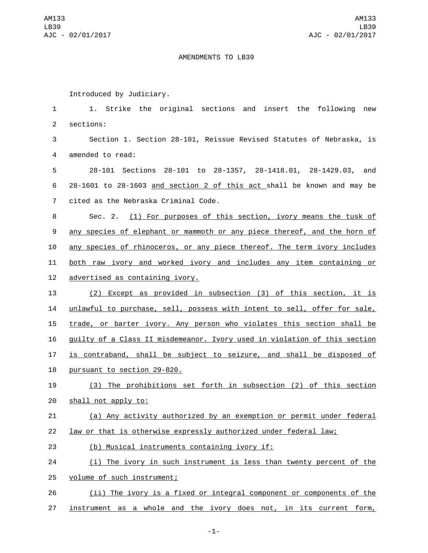## AMENDMENTS TO LB39

Introduced by Judiciary.

 1. Strike the original sections and insert the following new 2 sections: Section 1. Section 28-101, Reissue Revised Statutes of Nebraska, is 4 amended to read: 28-101 Sections 28-101 to 28-1357, 28-1418.01, 28-1429.03, and 28-1601 to 28-1603 and section 2 of this act shall be known and may be 7 cited as the Nebraska Criminal Code. Sec. 2. (1) For purposes of this section, ivory means the tusk of any species of elephant or mammoth or any piece thereof, and the horn of 10 any species of rhinoceros, or any piece thereof. The term ivory includes both raw ivory and worked ivory and includes any item containing or 12 advertised as containing ivory. (2) Except as provided in subsection (3) of this section, it is 14 unlawful to purchase, sell, possess with intent to sell, offer for sale, trade, or barter ivory. Any person who violates this section shall be guilty of a Class II misdemeanor. Ivory used in violation of this section is contraband, shall be subject to seizure, and shall be disposed of 18 pursuant to section 29-820. (3) The prohibitions set forth in subsection (2) of this section 20 shall not apply to: (a) Any activity authorized by an exemption or permit under federal

- 22 law or that is otherwise expressly authorized under federal law;
- (b) Musical instruments containing ivory if:23
- 24 (i) The ivory in such instrument is less than twenty percent of the
- 25 volume of such instrument;
- 26 (ii) The ivory is a fixed or integral component or components of the
- 27 instrument as a whole and the ivory does not, in its current form,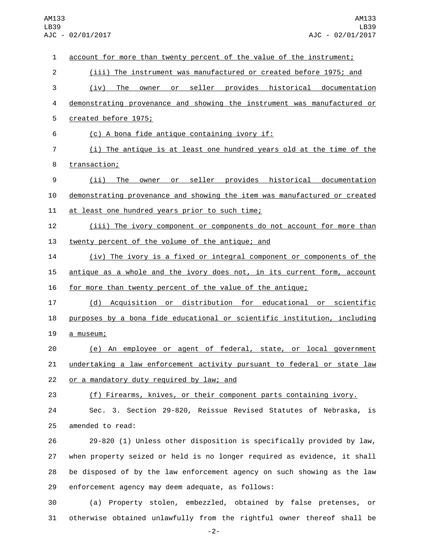| $\mathbf 1$    | account for more than twenty percent of the value of the instrument;            |
|----------------|---------------------------------------------------------------------------------|
| $\overline{c}$ | (iii) The instrument was manufactured or created before 1975; and               |
| 3              | The<br>seller<br>provides<br>historical<br>(iv)<br>documentation<br>owner<br>or |
| 4              | demonstrating provenance and showing the instrument was manufactured or         |
| 5              | created before 1975;                                                            |
| 6              | (c) A bona fide antique containing ivory if:                                    |
| $\overline{7}$ | (i) The antique is at least one hundred years old at the time of the            |
| 8              | transaction;                                                                    |
| 9              | seller provides historical documentation<br>(i)<br>The<br>owner<br>or           |
| 10             | demonstrating provenance and showing the item was manufactured or created       |
| 11             | at least one hundred years prior to such time;                                  |
| 12             | (iii) The ivory component or components do not account for more than            |
| 13             | twenty percent of the volume of the antique; and                                |
| 14             | (iv) The ivory is a fixed or integral component or components of the            |
| 15             | antique as a whole and the ivory does not, in its current form, account         |
| 16             | for more than twenty percent of the value of the antique;                       |
| 17             | Acquisition or distribution for educational or scientific<br>(d)                |
| 18             | purposes by a bona fide educational or scientific institution, including        |
| 19             | a museum;                                                                       |
| 20             | (e) An employee or agent of federal, state, or local government                 |
| 21             | undertaking a law enforcement activity pursuant to federal or state law         |
| 22             | <u>or a mandatory duty required by law; and</u>                                 |
| 23             | (f) Firearms, knives, or their component parts containing ivory.                |
| 24             | Sec. 3. Section 29-820, Reissue Revised Statutes of Nebraska, is                |
| 25             | amended to read:                                                                |
| 26             | 29-820 (1) Unless other disposition is specifically provided by law,            |
| 27             | when property seized or held is no longer required as evidence, it shall        |
| 28             | be disposed of by the law enforcement agency on such showing as the law         |
| 29             | enforcement agency may deem adequate, as follows:                               |
| 30             | (a) Property stolen, embezzled, obtained by false pretenses, or                 |
| 31             | otherwise obtained unlawfully from the rightful owner thereof shall be          |

-2-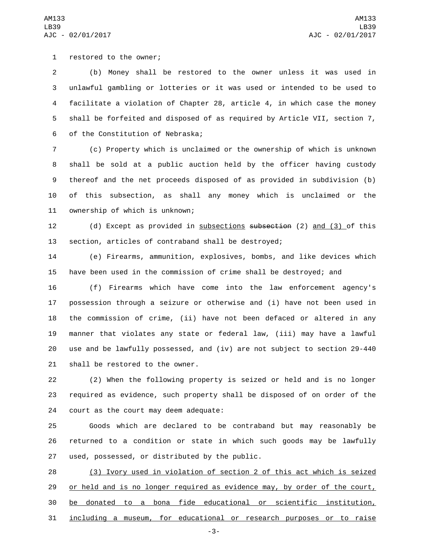1 restored to the owner;

 (b) Money shall be restored to the owner unless it was used in unlawful gambling or lotteries or it was used or intended to be used to facilitate a violation of Chapter 28, article 4, in which case the money shall be forfeited and disposed of as required by Article VII, section 7, 6 of the Constitution of Nebraska;

 (c) Property which is unclaimed or the ownership of which is unknown shall be sold at a public auction held by the officer having custody thereof and the net proceeds disposed of as provided in subdivision (b) of this subsection, as shall any money which is unclaimed or the 11 ownership of which is unknown;

 (d) Except as provided in subsections subsection (2) and (3) of this section, articles of contraband shall be destroyed;

 (e) Firearms, ammunition, explosives, bombs, and like devices which have been used in the commission of crime shall be destroyed; and

 (f) Firearms which have come into the law enforcement agency's possession through a seizure or otherwise and (i) have not been used in the commission of crime, (ii) have not been defaced or altered in any manner that violates any state or federal law, (iii) may have a lawful use and be lawfully possessed, and (iv) are not subject to section 29-440 21 shall be restored to the owner.

 (2) When the following property is seized or held and is no longer required as evidence, such property shall be disposed of on order of the 24 court as the court may deem adequate:

 Goods which are declared to be contraband but may reasonably be returned to a condition or state in which such goods may be lawfully 27 used, possessed, or distributed by the public.

 (3) Ivory used in violation of section 2 of this act which is seized 29 or held and is no longer required as evidence may, by order of the court, be donated to a bona fide educational or scientific institution, including a museum, for educational or research purposes or to raise

-3-